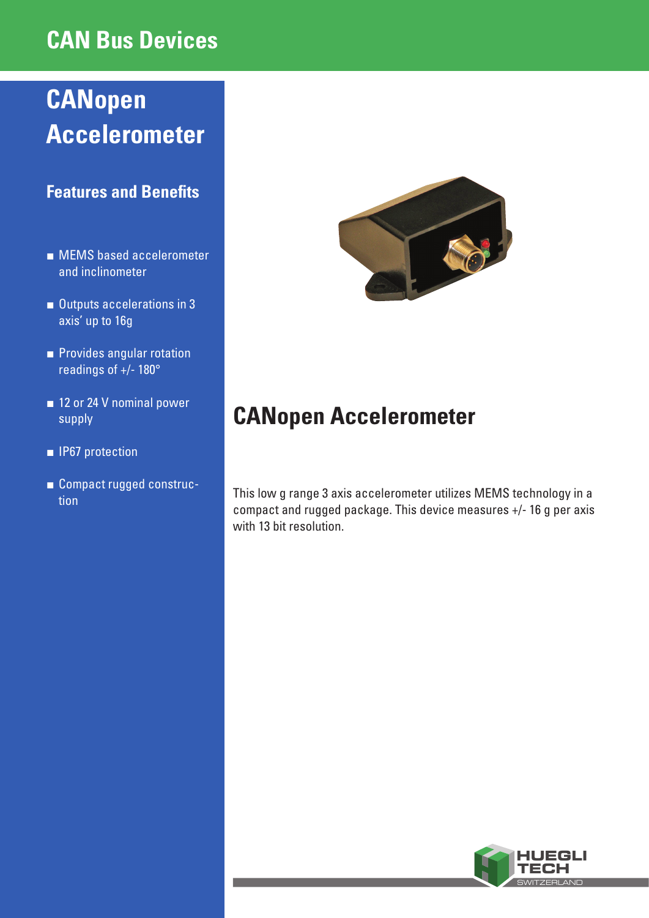### **CAN Bus Devices**

# **CANopen Accelerometer**

### **Features and Benefits**

- MEMS based accelerometer and inclinometer
- Outputs accelerations in 3 axis' up to 16g
- Provides angular rotation readings of +/- 180°
- 12 or 24 V nominal power supply
- **■** IP67 protection
- **■** Compact rugged construc-



## **CANopen Accelerometer**

tion This low g range 3 axis accelerometer utilizes MEMS technology in a compact and rugged package. This device measures +/- 16 g per axis with 13 bit resolution.